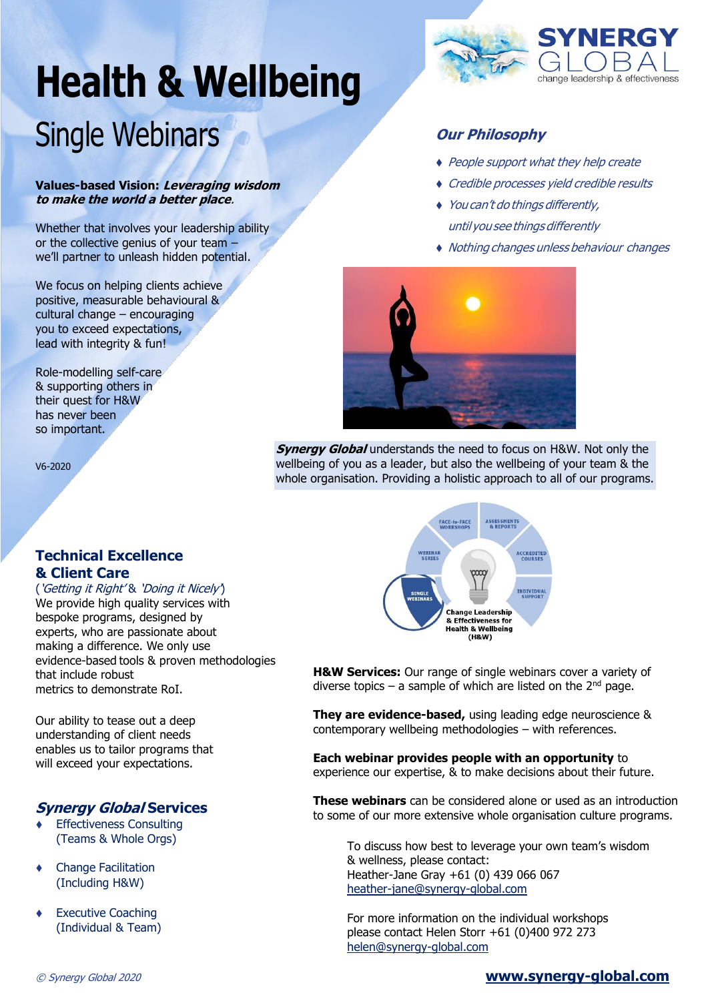# **Health & Wellbeing** Single Webinars

#### **Values-based Vision: Leveraging wisdom to make the world a better place**.

Whether that involves your leadership ability or the collective genius of your team – we'll partner to unleash hidden potential.

We focus on helping clients achieve positive, measurable behavioural & cultural change – encouraging you to exceed expectations, lead with integrity & fun!

Role-modelling self-care & supporting others in their quest for H&W has never been so important.

V6-2020

#### **Technical Excellence & Client Care**

('Getting it Right' & 'Doing it Nicely') We provide high quality services with bespoke programs, designed by experts, who are passionate about making a difference. We only use evidence-based tools & proven methodologies that include robust metrics to demonstrate RoI.

Our ability to tease out a deep understanding of client needs enables us to tailor programs that will exceed your expectations.

#### **Synergy Global Services**

- ⧫ Effectiveness Consulting (Teams & Whole Orgs)
- ⧫ Change Facilitation (Including H&W)
- **Executive Coaching** (Individual & Team)



#### **Our Philosophy**

- ◆ People support what they help create
- ⧫ Credible processes yield credible results
- ⧫ You can't do things differently, until you see things differently
- ⧫ Nothing changes unless behaviour changes



**Synergy Global** understands the need to focus on H&W. Not only the wellbeing of you as a leader, but also the wellbeing of your team & the whole organisation. Providing a holistic approach to all of our programs.



**H&W Services:** Our range of single webinars cover a variety of diverse topics – a sample of which are listed on the  $2^{nd}$  page.

**They are evidence-based,** using leading edge neuroscience & contemporary wellbeing methodologies – with references.

**Each webinar provides people with an opportunity** to experience our expertise, & to make decisions about their future.

**These webinars** can be considered alone or used as an introduction to some of our more extensive whole organisation culture programs.

To discuss how best to leverage your own team's wisdom & wellness, please contact: Heather-Jane Gray +61 (0) 439 066 067 [heather-jane@synergy-global.com](mailto:heather-jane@synergy-global.com)

For more information on the individual workshops please contact Helen Storr +61 (0)400 972 273 [helen@synergy-global.com](mailto:helen@synergy-global.com)

#### © Synergy Global 2020 **[www.synergy-global.com](http://www.synergy-global.com/)**